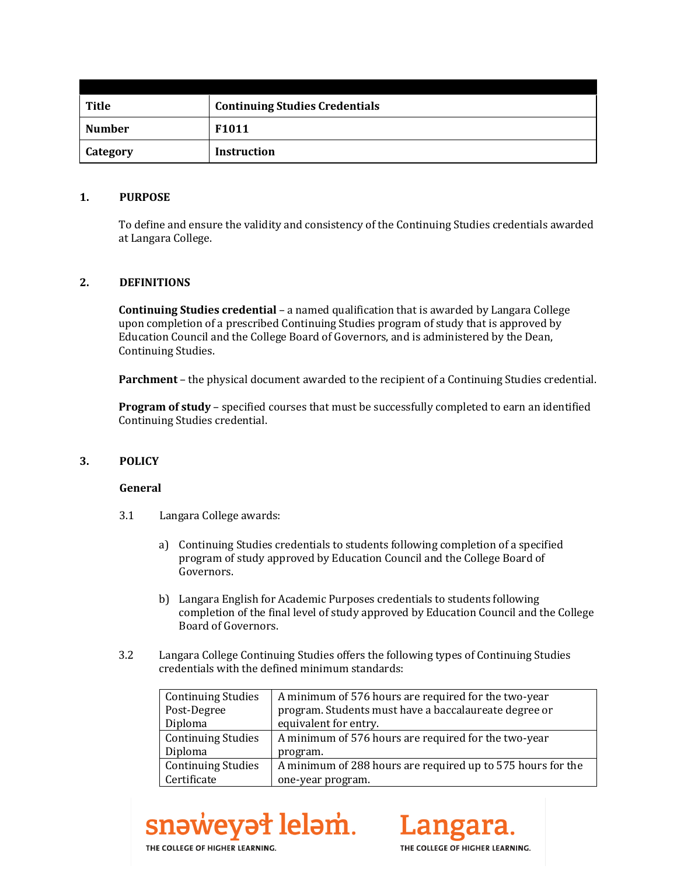| <b>Title</b>  | <b>Continuing Studies Credentials</b> |
|---------------|---------------------------------------|
| <b>Number</b> | F <sub>1011</sub>                     |
| Category      | <b>Instruction</b>                    |

### **1. PURPOSE**

To define and ensure the validity and consistency of the Continuing Studies credentials awarded at Langara College.

## **2. DEFINITIONS**

**Continuing Studies credential** – a named qualification that is awarded by Langara College upon completion of a prescribed Continuing Studies program of study that is approved by Education Council and the College Board of Governors, and is administered by the Dean, Continuing Studies.

**Parchment** – the physical document awarded to the recipient of a Continuing Studies credential.

**Program of study** – specified courses that must be successfully completed to earn an identified Continuing Studies credential.

#### **3. POLICY**

#### **General**

- 3.1 Langara College awards:
	- a) Continuing Studies credentials to students following completion of a specified program of study approved by Education Council and the College Board of Governors.
	- b) Langara English for Academic Purposes credentials to students following completion of the final level of study approved by Education Council and the College Board of Governors.
- 3.2 Langara College Continuing Studies offers the following types of Continuing Studies credentials with the defined minimum standards:

| <b>Continuing Studies</b> | A minimum of 576 hours are required for the two-year        |  |
|---------------------------|-------------------------------------------------------------|--|
| Post-Degree               | program. Students must have a baccalaureate degree or       |  |
| Diploma                   | equivalent for entry.                                       |  |
| <b>Continuing Studies</b> | A minimum of 576 hours are required for the two-year        |  |
| Diploma                   | program.                                                    |  |
| <b>Continuing Studies</b> | A minimum of 288 hours are required up to 575 hours for the |  |
| Certificate               | one-year program.                                           |  |





THE COLLEGE OF HIGHER LEARNING.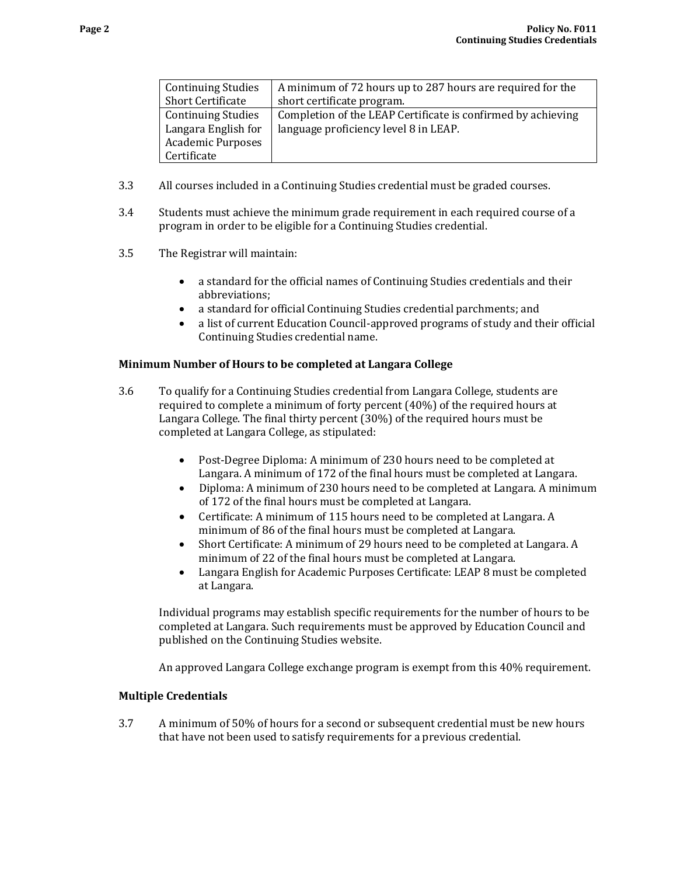| <b>Continuing Studies</b> | A minimum of 72 hours up to 287 hours are required for the   |
|---------------------------|--------------------------------------------------------------|
| <b>Short Certificate</b>  | short certificate program.                                   |
| <b>Continuing Studies</b> | Completion of the LEAP Certificate is confirmed by achieving |
| Langara English for       | language proficiency level 8 in LEAP.                        |
| <b>Academic Purposes</b>  |                                                              |
| Certificate               |                                                              |

- 3.3 All courses included in a Continuing Studies credential must be graded courses.
- 3.4 Students must achieve the minimum grade requirement in each required course of a program in order to be eligible for a Continuing Studies credential.
- 3.5 The Registrar will maintain:
	- a standard for the official names of Continuing Studies credentials and their abbreviations;
	- a standard for official Continuing Studies credential parchments; and
	- a list of current Education Council-approved programs of study and their official Continuing Studies credential name.

### **Minimum Number of Hours to be completed at Langara College**

- 3.6 To qualify for a Continuing Studies credential from Langara College, students are required to complete a minimum of forty percent (40%) of the required hours at Langara College. The final thirty percent (30%) of the required hours must be completed at Langara College, as stipulated:
	- Post-Degree Diploma: A minimum of 230 hours need to be completed at Langara. A minimum of 172 of the final hours must be completed at Langara.
	- Diploma: A minimum of 230 hours need to be completed at Langara. A minimum of 172 of the final hours must be completed at Langara.
	- Certificate: A minimum of 115 hours need to be completed at Langara. A minimum of 86 of the final hours must be completed at Langara.
	- Short Certificate: A minimum of 29 hours need to be completed at Langara. A minimum of 22 of the final hours must be completed at Langara.
	- Langara English for Academic Purposes Certificate: LEAP 8 must be completed at Langara.

Individual programs may establish specific requirements for the number of hours to be completed at Langara. Such requirements must be approved by Education Council and published on the Continuing Studies website.

An approved Langara College exchange program is exempt from this 40% requirement.

#### **Multiple Credentials**

3.7 A minimum of 50% of hours for a second or subsequent credential must be new hours that have not been used to satisfy requirements for a previous credential.